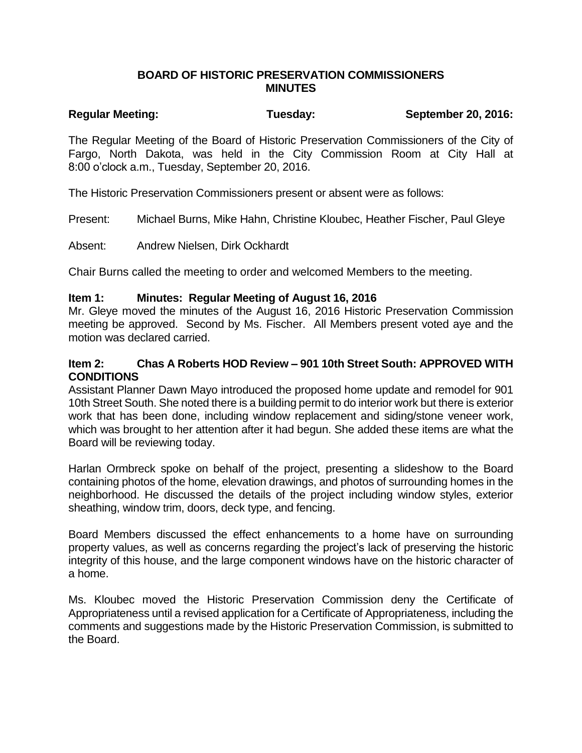### **BOARD OF HISTORIC PRESERVATION COMMISSIONERS MINUTES**

# **Regular Meeting: Tuesday: September 20, 2016:**

The Regular Meeting of the Board of Historic Preservation Commissioners of the City of Fargo, North Dakota, was held in the City Commission Room at City Hall at 8:00 o'clock a.m., Tuesday, September 20, 2016.

The Historic Preservation Commissioners present or absent were as follows:

Present: Michael Burns, Mike Hahn, Christine Kloubec, Heather Fischer, Paul Gleye

Absent: Andrew Nielsen, Dirk Ockhardt

Chair Burns called the meeting to order and welcomed Members to the meeting.

#### **Item 1: Minutes: Regular Meeting of August 16, 2016**

Mr. Gleye moved the minutes of the August 16, 2016 Historic Preservation Commission meeting be approved. Second by Ms. Fischer. All Members present voted aye and the motion was declared carried.

#### **Item 2: Chas A Roberts HOD Review – 901 10th Street South: APPROVED WITH CONDITIONS**

Assistant Planner Dawn Mayo introduced the proposed home update and remodel for 901 10th Street South. She noted there is a building permit to do interior work but there is exterior work that has been done, including window replacement and siding/stone veneer work, which was brought to her attention after it had begun. She added these items are what the Board will be reviewing today.

Harlan Ormbreck spoke on behalf of the project, presenting a slideshow to the Board containing photos of the home, elevation drawings, and photos of surrounding homes in the neighborhood. He discussed the details of the project including window styles, exterior sheathing, window trim, doors, deck type, and fencing.

Board Members discussed the effect enhancements to a home have on surrounding property values, as well as concerns regarding the project's lack of preserving the historic integrity of this house, and the large component windows have on the historic character of a home.

Ms. Kloubec moved the Historic Preservation Commission deny the Certificate of Appropriateness until a revised application for a Certificate of Appropriateness, including the comments and suggestions made by the Historic Preservation Commission, is submitted to the Board.